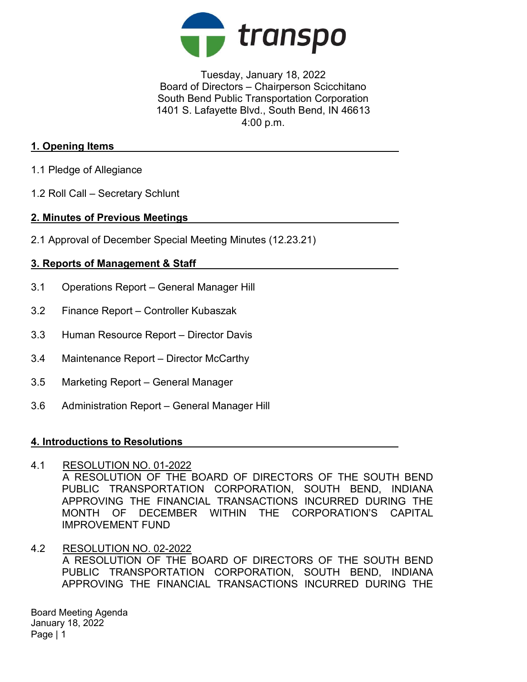

Tuesday, January 18, 2022 Board of Directors – Chairperson Scicchitano South Bend Public Transportation Corporation 1401 S. Lafayette Blvd., South Bend, IN 46613 4:00 p.m.

## 1. Opening Items

- 1.1 Pledge of Allegiance
- 1.2 Roll Call Secretary Schlunt

## 2. Minutes of Previous Meetings

2.1 Approval of December Special Meeting Minutes (12.23.21)

# 3. Reports of Management & Staff

- 3.1 Operations Report General Manager Hill
- 3.2 Finance Report Controller Kubaszak
- 3.3 Human Resource Report Director Davis
- 3.4 Maintenance Report Director McCarthy
- 3.5 Marketing Report General Manager
- 3.6 Administration Report General Manager Hill

### 4. Introductions to Resolutions

### 4.1 RESOLUTION NO. 01-2022

A RESOLUTION OF THE BOARD OF DIRECTORS OF THE SOUTH BEND PUBLIC TRANSPORTATION CORPORATION, SOUTH BEND, INDIANA APPROVING THE FINANCIAL TRANSACTIONS INCURRED DURING THE MONTH OF DECEMBER WITHIN THE CORPORATION'S CAPITAL IMPROVEMENT FUND

4.2 RESOLUTION NO. 02-2022 A RESOLUTION OF THE BOARD OF DIRECTORS OF THE SOUTH BEND PUBLIC TRANSPORTATION CORPORATION, SOUTH BEND, INDIANA APPROVING THE FINANCIAL TRANSACTIONS INCURRED DURING THE

Board Meeting Agenda January 18, 2022 Page | 1